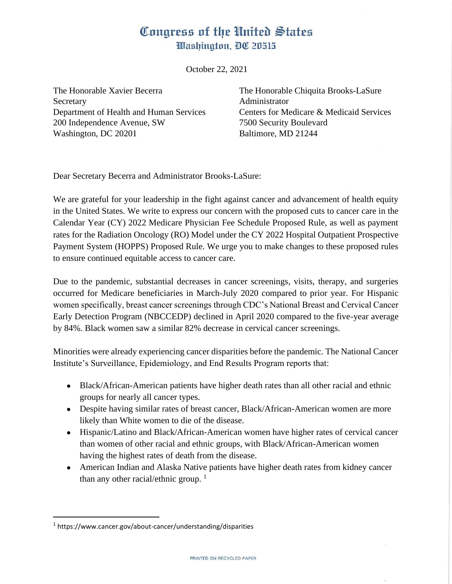## Congress of the United States Washington, DC 20515

October 22, 2021

The Honorable Xavier Becerra The Honorable Chiquita Brooks-LaSure Secretary **Administrator** Department of Health and Human Services Centers for Medicare & Medicaid Services 200 Independence Avenue, SW 7500 Security Boulevard Washington, DC 20201 Baltimore, MD 21244

Dear Secretary Becerra and Administrator Brooks-LaSure:

We are grateful for your leadership in the fight against cancer and advancement of health equity in the United States. We write to express our concern with the proposed cuts to cancer care in the Calendar Year (CY) 2022 Medicare Physician Fee Schedule Proposed Rule, as well as payment rates for the Radiation Oncology (RO) Model under the CY 2022 Hospital Outpatient Prospective Payment System (HOPPS) Proposed Rule. We urge you to make changes to these proposed rules to ensure continued equitable access to cancer care.

Due to the pandemic, substantial decreases in cancer screenings, visits, therapy, and surgeries occurred for Medicare beneficiaries in March-July 2020 compared to prior year. For Hispanic women specifically, breast cancer screenings through CDC's National Breast and Cervical Cancer Early Detection Program (NBCCEDP) declined in April 2020 compared to the five-year average by 84%. Black women saw a similar 82% decrease in cervical cancer screenings.

Minorities were already experiencing cancer disparities before the pandemic. The National Cancer Institute's Surveillance, Epidemiology, and End Results Program reports that:

- Black/African-American patients have higher death rates than all other racial and ethnic groups for nearly all cancer types.
- Despite having similar rates of breast cancer, Black/African-American women are more likely than White women to die of the disease.
- Hispanic/Latino and Black/African-American women have higher rates of cervical cancer than women of other racial and ethnic groups, with Black/African-American women having the highest rates of death from the disease.
- American Indian and Alaska Native patients have higher death rates from kidney cancer than any other racial/ethnic group.  $1$

<sup>&</sup>lt;sup>1</sup> https://www.cancer.gov/about-cancer/understanding/disparities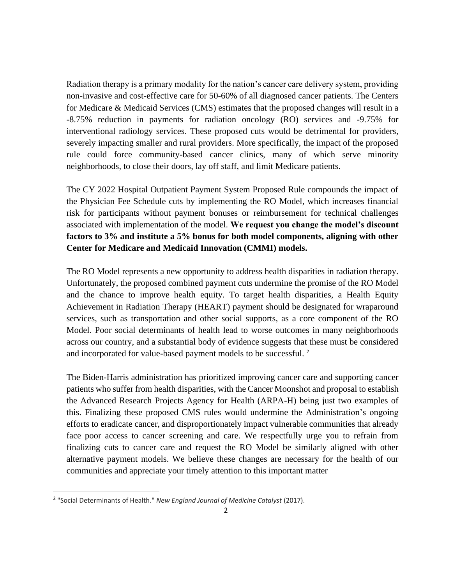Radiation therapy is a primary modality for the nation's cancer care delivery system, providing non-invasive and cost-effective care for 50-60% of all diagnosed cancer patients. The Centers for Medicare & Medicaid Services (CMS) estimates that the proposed changes will result in a -8.75% reduction in payments for radiation oncology (RO) services and -9.75% for interventional radiology services. These proposed cuts would be detrimental for providers, severely impacting smaller and rural providers. More specifically, the impact of the proposed rule could force community-based cancer clinics, many of which serve minority neighborhoods, to close their doors, lay off staff, and limit Medicare patients.

The CY 2022 Hospital Outpatient Payment System Proposed Rule compounds the impact of the Physician Fee Schedule cuts by implementing the RO Model, which increases financial risk for participants without payment bonuses or reimbursement for technical challenges associated with implementation of the model. **We request you change the model's discount factors to 3% and institute a 5% bonus for both model components, aligning with other Center for Medicare and Medicaid Innovation (CMMI) models.** 

The RO Model represents a new opportunity to address health disparities in radiation therapy. Unfortunately, the proposed combined payment cuts undermine the promise of the RO Model and the chance to improve health equity. To target health disparities, a Health Equity Achievement in Radiation Therapy (HEART) payment should be designated for wraparound services, such as transportation and other social supports, as a core component of the RO Model. Poor social determinants of health lead to worse outcomes in many neighborhoods across our country, and a substantial body of evidence suggests that these must be considered and incorporated for value-based payment models to be successful. <sup>2</sup>

The Biden-Harris administration has prioritized improving cancer care and supporting cancer patients who suffer from health disparities, with the Cancer Moonshot and proposal to establish the Advanced Research Projects Agency for Health (ARPA-H) being just two examples of this. Finalizing these proposed CMS rules would undermine the Administration's ongoing efforts to eradicate cancer, and disproportionately impact vulnerable communities that already face poor access to cancer screening and care. We respectfully urge you to refrain from finalizing cuts to cancer care and request the RO Model be similarly aligned with other alternative payment models. We believe these changes are necessary for the health of our communities and appreciate your timely attention to this important matter

<sup>2</sup> "Social Determinants of Health." *New England Journal of Medicine Catalyst* (2017).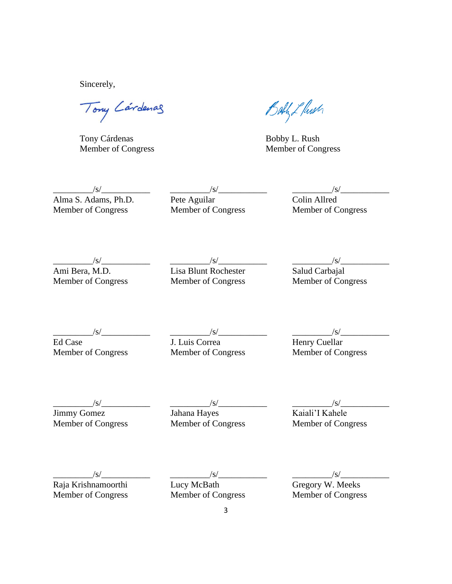Sincerely,

Tony Cardenas

Tony Cárdenas Bobby L. Rush

Bath L Push

Member of Congress Member of Congress

\_\_\_\_\_\_\_\_\_/s/\_\_\_\_\_\_\_\_\_\_\_ \_\_\_\_\_\_\_\_\_/s/\_\_\_\_\_\_\_\_\_\_\_ \_\_\_\_\_\_\_\_\_/s/\_\_\_\_\_\_\_\_\_\_\_ Alma S. Adams, Ph.D. Pete Aguilar Colin Allred Xalma S. Adams, Ph.D.<br>
Member of Congress Member of Congress Member of Congress Member of Congress Member of Congress

\_\_\_\_\_\_\_\_\_/s/\_\_\_\_\_\_\_\_\_\_\_ \_\_\_\_\_\_\_\_\_/s/\_\_\_\_\_\_\_\_\_\_\_ \_\_\_\_\_\_\_\_\_/s/\_\_\_\_\_\_\_\_\_\_\_ *S/*<br>
Ami Bera, M.D.<br>
Member of Congress<br>
Member of Congress<br>
Member of Congress<br>
Member of Congress<br>
Salud Carbajal<br>
Member of Congress Member of Congress

\_\_\_\_\_\_\_\_\_/s/\_\_\_\_\_\_\_\_\_\_\_ \_\_\_\_\_\_\_\_\_/s/\_\_\_\_\_\_\_\_\_\_\_ \_\_\_\_\_\_\_\_\_/s/\_\_\_\_\_\_\_\_\_\_\_

Ed Case **J. Luis Correa** Henry Cuellar Member of Congress Member of Congress Member of Congress Member of Congress Member of Congress Member of Congress

Member of Congress Member of Congress Member of Congress

\_\_\_\_\_\_\_\_\_/s/\_\_\_\_\_\_\_\_\_\_\_ \_\_\_\_\_\_\_\_\_/s/\_\_\_\_\_\_\_\_\_\_\_ \_\_\_\_\_\_\_\_\_/s/\_\_\_\_\_\_\_\_\_\_\_ Jimmy Gomez Jahana Hayes Kaiali'I Kahele

\_\_\_\_\_\_\_\_\_/s/\_\_\_\_\_\_\_\_\_\_\_ \_\_\_\_\_\_\_\_\_/s/\_\_\_\_\_\_\_\_\_\_\_ \_\_\_\_\_\_\_\_\_/s/\_\_\_\_\_\_\_\_\_\_\_ Raja Krishnamoorthi Lucy McBath Gregory W. Meeks Xaja Krishnamoorthi<br>
Member of Congress Member of Congress Member of Congress Member of Congress Member of Congress